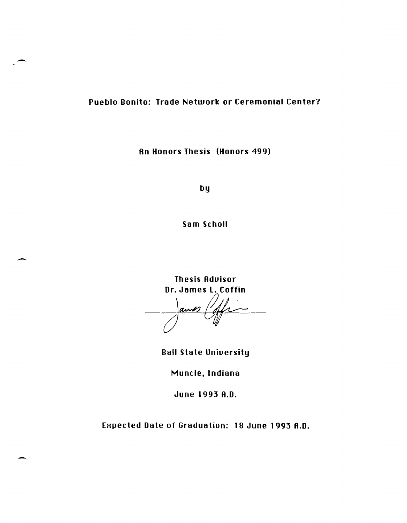## Pueblo Bonito: Trade Network or Ceremonial Center?

An Honors Thesis (Honors 499)

by

Sam Scholl

**Thesis Advisor** Dr. James L. Coffin

and

**Ball State University** 

Muncie, Indiana

June 1993 A.D.

Expected Date of Graduation: 18 June 1993 A.D.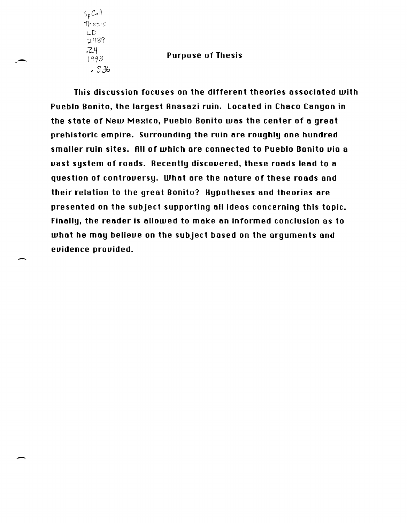Sf *Co* Ii  $The$ l-D 2489 ·1-4  $1993$ , S3h

.--

-

-

## Purpose of Thesis

This discussion focuses on the different theories associated with Pueblo Bonito, the largest Anasazi ruin. located in Chaco Canyon in the state of New Mexico, Pueblo Bonito was the center of a great prehistoric empire. Surrounding the ruin are roughly one hundred smaller ruin sites. All of which are connected to Pueblo Bonito uia a uast system of roads. Recently discovered, these roads lead to a question of controuersy. What are the nature of these roods and their relation to the great Bonito? Hypotheses and theories are presented on the subject supporting all ideas concerning this topic. Finally, the reader is allowed to make on informed conclusion as to what he may believe on the subject based on the arguments and euidence prouided.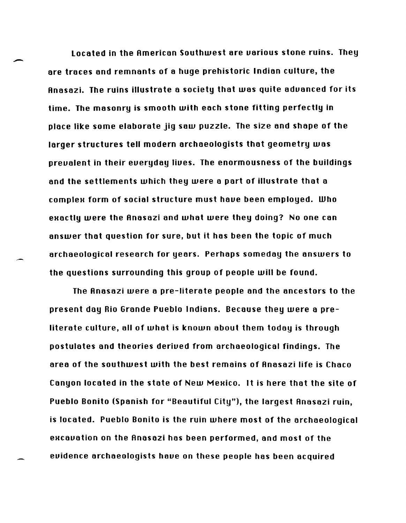Located in the Rmerican Southwest are uarious stone ruins. They are traces and remnants of a huge prehistoric Indian culture, the Rnasazi. The ruins illustrate a society that was quite aduanced for its time. The masonry is smooth with each stone fitting perfectly in place like some elaborate jig saw puzzle. The size and shape of the larger structures tell modern archaeologists that geometry was preualent in their eueryday liues. The enormousness of the buildings and the settlements which they were a part of illustrate that a complex form of social structure must have been employed. Who exactly were the Anasazi and what were they doing? No one can answer that question for sure, but it has been the topic of much archaeological research for years. Perhaps someday the answers to the questions surrounding this group of people will be found.

The Rnasazi were a pre-literate people and the ancestors to the present day Rio Grande Pueblo Indians. Because they were a preliterate culture, all of what is known about them today is through postulates and theories deriued from archaeological findings. The area of the southwest with the best remains of Rnasazi life is Chaco Canyon located in the state of New Mexico. It is here that the site of Pueblo Bonito (Spanish for "Beautiful City"), the largest Rnasazi ruin, is located. Pueblo Bonito is the ruin where most of the archaeological excauation on the Anasazi has been performed, and most of the euidence archaeologists haue on these people has been acquired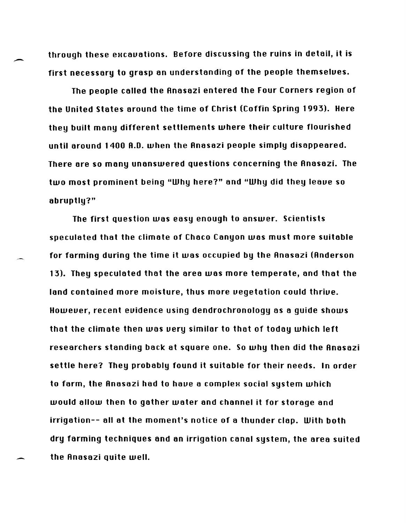through these excavations. Before discussing the ruins in detail, it is first necessary to grasp an understanding of the people themselues.

The people called the Rnasazi entered the Four Corners region of the United states around the time of Christ (Coffin Spring 1993). Here they built many different settlements where their culture flourished until around 1400 R.O. when the Rnasazi people simply disappeared. There are so many unanswered questions concerning the Rnasazi. The two most prominent being "Why here?" and "Why did they leaue so abruptly?"

The first question was easy enough to answer. Scientists speculated that the climate of Chaco Canyon was must more suitable for farming during the time it was occupied by the Anasazi (Anderson 13). They speculated that the area was more temperate, and that the land contained more moisture, thus more vegetation could thrive. Howeuer, recent euidence using dendrochronology as a guide shows that the climate then was uery similar to that of today which left researchers standing back at square one. So why then did the Rnasazi settle here? They probably found it suitable for their needs. In order to farm, the Anasazi had to have a complex social system which would allow then to gather water and channel it for storage and irrigation-- all at the moment's notice of a thunder clap. With both dry farming techniques and an irrigation canal system, the area suited the Rnasazi quite well.

-

-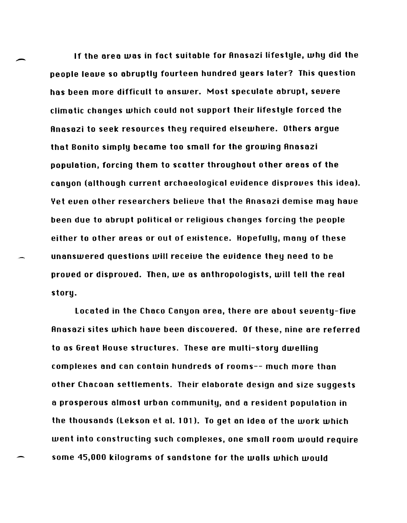If the area was in fact suitable for Anasazi lifestule, why did the people leaue so abruptly fourteen hundred years later? This question has been more difficult to answer. Most speculate abrupt, seuere climatic changes which could not support their lifestyle forced the Rnasazi to seek resources they required elsewhere. Others argue that Bonito simply became too small for the growing Rnasazi population, forcing them to scatter throughout other areas of the canyon (although current archaeological euidence disproues this idea). Yet euen other researchers belieue that the Rnasazi demise may haue been due to abrupt political or religious changes forcing the people either to other areas or out of existence. Hopefully, many of these unanswered questions will receiue the euidence they need to be proved or disproved. Then, we as anthropologists, will tell the real story.

Located in the Chaco Canyon area, there are about seuenty-fiue Rnasazi sites which haue been discouered. Of these, nine are referred to as Great House structures. These are multi-story dwelling complexes and can contain hundreds of rooms-- much more than other Chacoan settlements. Their elaborate design and size suggests a prosperous almost urban community, and a resident population in the thousands (Lekson et al. 101). To get an idea of the work which went into constructing such complexes, one small room would require some 45,000 kilograms of sandstone for the walls which would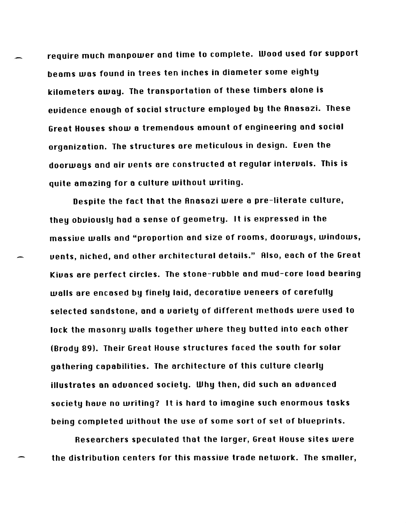require much manpower and time to complete. Wood used for support beams was found in trees ten inches in diameter some eighty kilometers away. The transportation of these timbers alone is euidence enough of social structure employed by the Anasazi. These Great Houses show a tremendous amount of engineering and social organization. The structures are meticulous in design. Euen the doorways and air uents are constructed at regular interuals. This is quite amazing for a culture without writing.

Despite the fact that the Anasazi were a pre-literate culture, they obviously had a sense of geometry. It is expressed in the massiue walls and "proportion and size of rooms, doorways, windows, uents, niched, and other architectural details." Also, each of the Great Kiuas are perfect circles. The stone-rubble and mud-core load bearing walls are encased by finely laid, decoratiue ueneers of carefully selected sandstone, and a uariety of different methods were used to lock the masonry walls together where they butted into each other (Brody 89). Their Great House structures faced the south for solar gathering capabilities. The architecture of this culture clearly illustrates an aduanced society. Why then, did such an aduanced society haue no writing? It is hard to imagine such enormous tasks being completed without the use of some sort of set of blueprints.

Researchers speculated that the larger, Great House sites were the distribution centers for this massiue trade network. The smaller,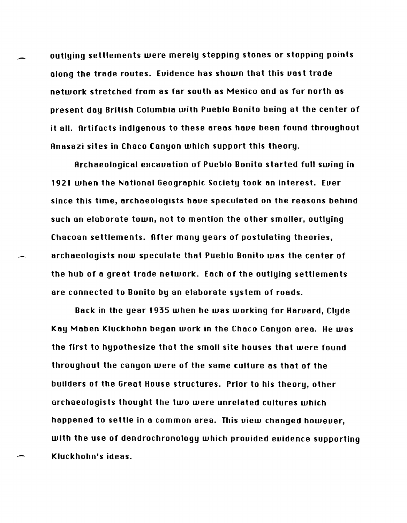outlying settlements were merely stepping stones or stopping points along the trade routes. Euidence has shown that this uast trade network stretched from as far south as Mexico and as far north as present day British Columbia with Pueblo Bonito being at the center of it all. Rrtifacts indigenous to these areas haue been found throughout Rnasazi sites in Chaco Canyon which support this theory.

Archaeological excavation of Pueblo Bonito started full swing in 1921 when the National Geographic Society took an interest. Euer since this time, archaeologists haue speculated on the reasons behind such an elaborate town, not to mention the other smaller, outlying Chacoan settlements. Rfter many years of postulating theories, archaeologists now speculate that Pueblo Bonito was the center of the hub of a great trade network. Each of the outlying settlements are connected to Bonito by an elaborate system of roads.

Back in the year 1935 when he was working for Haruard, Clyde Kay Maben Kluckhohn began work in the Chaco Canyon area. He was the first to hypothesize that the small site houses that were found throughout the canyon were of the same culture as that of the builders of the Great House structures. Prior to his theory, other archaeologists thought the two were unrelated cultures which happened to settle in a common area. This uiew changed howeuer, with the use of dendrochronology which prouided euidence supporting Kluckhohn's ideas.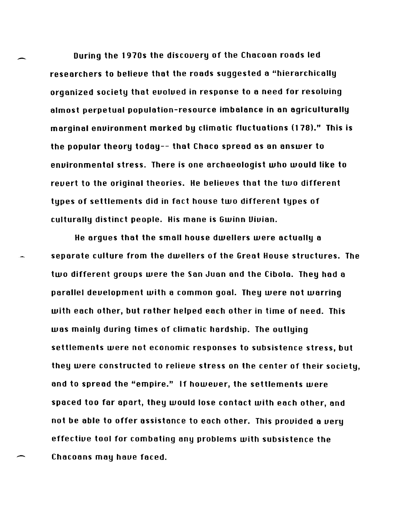During the 1970s the discouery of the Chocoon roods led researchers to believe that the roads suggested a "hierarchically organized society that evolved in response to a need for resolving olmost perpetual population-resource imbalance in an agriculturally marginal enuironment marked by climatic fluctuations (178)." This is the popular theory today-- that Chaco spread as an answer to enuironmental stress. There is one archaeologist who would like to reuert to the original theories. He belieues that the two different types of settlements did in fact house two different types of culturally distinct people. His mane is Gwinn Uiuian.

-

-

He argues that the small house dwellers were actually a separate culture from the dwellers of the Great House structures. The two different groups were the San Juan and the Cibolo. They had a parallel deuelopment with a common goal. They were not warring with each other, but rather helped each other in time of need. This was mainly during times of climatic hardship. The outlying settlements were not economic responses to subsistence stress, but they were constructed to relieue stress on the center of their society, and to spread the "empire." If howeuer, the settlements were spaced too for apart, they would lose contact with each other, ond not be able to offer assistance to each other. This prouided a uery effectiue tool for combating ony problems with subsistence the Chacoans may haue faced.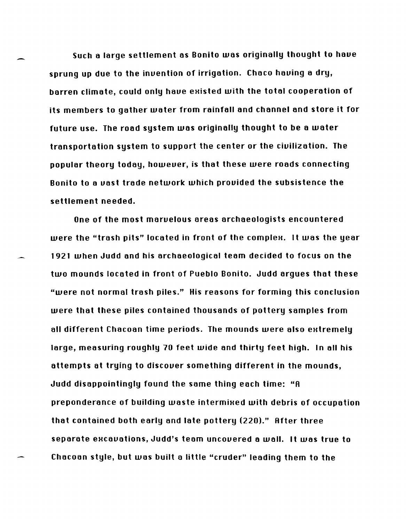Such a large settlement as Bonito was originally thought to have sprung up due to the inuention of irrigation. Chaco hauing a dry, barren climate, could only have existed with the total cooperation of its members to gather water from rainfall and channel and store it for future use. The road system was originally thought to be a water transportation system to support the center or the ciuilization. The popular theory today, howeuer, is that these were roads connecting Bonito to a uast trade network which prouided the subsistence the settlement needed.

One of the most maruelous areas archaeologists encountered were the "trash pits" located in front of the complex. It was the year 1921 when Judd and his archaeological team decided to focus on the two mounds located in front of Pueblo Bonito. Judd argues that these "were not normal trash piles." His reasons for forming this conclusion were that these piles contained thousands of pottery samples from all different Chacoan time periods. The mounds were also extremely large, measuring roughly 70 feet wide and thirty feet high. In all his attempts at trying to discouer something different in the mounds, Judd disappointingly found the same thing each time: "A preponderance of building waste intermixed with debris of occupation that contained both early and late pottery (220)." After three separate excavations, Judd's team uncovered a wall. It was true to Chacoan style, but was built a little "cruder" leading them to the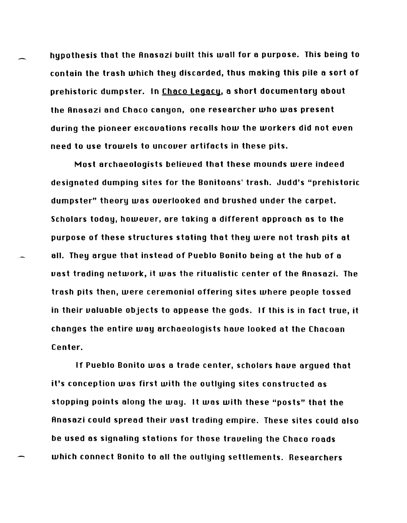hypothesis that the Anasazi built this wall for a purpose. This being to contain the trash which they discorded, thus making this pile a sort of prehistoric dumpster. In Chaco legacy, a short documentary about the Anasazi and Chaco canyon, one researcher who was present during the pioneer excavations recalls how the workers did not even need to use trowels to uncouer artifacts in these pits.

Most archaeologists belieued that these mounds were indeed deSignated dumping sites for the Bonitoans' trash. Judd's "prehistoric dumpster" theory was ouerlooked and brushed under the carpet. Scholars today, howeuer, are taking a different approach as to the purpose of these structures stating that they were not trash pits at all. They argue that instead of Pueblo Bonito being at the hub of a uast trading network, it was the ritualistic center of the Anasazi. The trash pits then, were ceremonial offering sites where people tossed in their ualuable objects to appease the gods. If this is in fact true, it changes the entire way archaeologists haue looked at the Chacoan Center.

If Pueblo Bonito was a trade center, scholars haue argued that it's conception was first with the outlying sites constructed as stopping pOints along the way. It was with these "posts" that the Anasazi could spread their uast trading empire. These sites could also be used as signaling stations for those traveling the Chaco roads which connect Bonito to all the outlying settlements. Researchers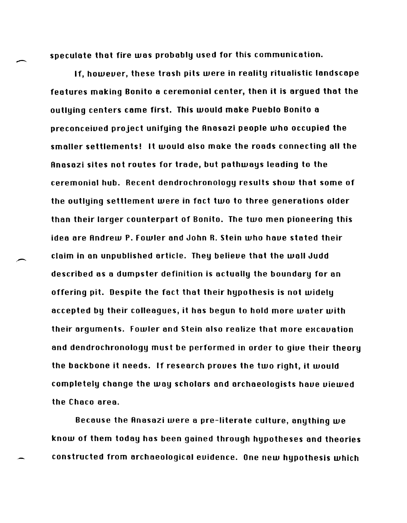speculate that fire was probably used for this communication.

If, howeuer, these trash pits were in reality ritualistic landscape features making Bonito a ceremonial center, then it is argued that the outlying centers came first. This would make Pueblo Bonito a preconceiued project unifying the Rnasazi people who occupied the smaller settlements! It would also make the roads connecting all the Rnasazi sites not routes for trade, but pathways leading to the ceremonial hub. Recent dendrochronology results show that some of the outlying settlement were in fact two to three generations older than their larger counterpart of Bonito. The two men pioneering this idea are Rndrew P. Fowler and John R. Stein who haue stated their claim in an unpublished article. They belieue that the wall Judd described as a dumpster definition is actually the boundary for an offering pit. Despite the fact that their hypothesis is not widely accepted by their colleagues, it has begun to hold more water with their arguments. Fowler and Stein also realize that more excavation and dendrochronology must be performed in order to giue their theory the backbone it needs. If research proues the two right, it would completely change the way scholars and archaeologists haue uiewed the Chaco area.

Because the Rnasazi were a pre-literate culture, anything we know of them today has been gained through hypotheses and theories constructed from archaeological euidence. One new hypothesis which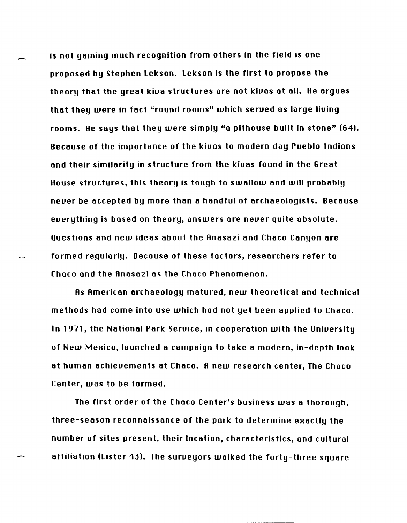is not gaining much recognition from others in the field is one proposed by Stephen Lekson. Lekson is the first to propose the theory that the great kiua structures are not kiuas at all. He argues that they were in fact "round rooms" which serued as large liuing rooms. He says that they were simply "a pithouse built in stone" (64). Because of the importance of the kiuas to modern day Pueblo Indians and their similarity in structure from the kiuas found in the Great House structures, this theory is tough to swallow and will probably neuer be accepted by more than a handful of archaeologists. Because euerything is based on theory, answers are neuer quite absolute. Questions and new ideas about the Anasazi and Chaco Canyon are formed regularly. Because of these factors, researchers refer to Chaco and the Anasazi as the Chaco Phenomenon.

As American archaeology matured, new theoretical and technical methods had come into use which had not yet been applied to Chaco. In 1971, the National Park Seruice, in cooperation with the Uniuersity of New Mexico, launched a campaign to take a modern, in-depth look at human achieuements at Chaco. A new research center, The Chaco Center, was to be formed.

The first order of the Chaco Center's business was a thorough, three-season reconnaissance of the park to determine exactly the number of sites present, their location, characteristics, and cultural affiliation (lister 43). The surueyors walked the forty-three square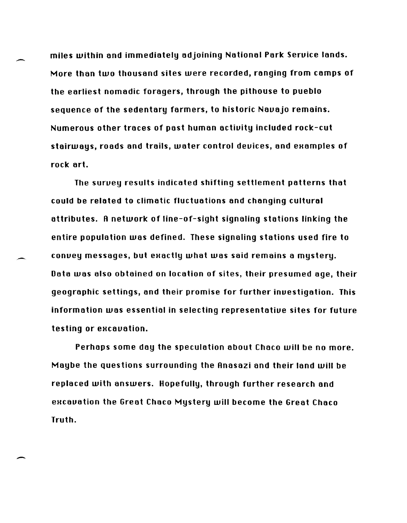miles within and immediately adjoining National Park Seruice lands. More than two thousand sites were recorded, ranging from camps of the earliest nomadic foragers, through the pithouse to pueblo sequence of the sedentary farmers, to historic Nauajo remains. Numerous other traces of past human actiuity included rock-cut stairways, roads and trails, water control devices, and examples of rock art.

-

-

-

The suruey results indicated shifting settlement patterns that could be related to climatic fluctuations and changing cultural attributes. R network of line-of-sight signaling stations linking the entire population was defined. These signaling stations used fire to convey messages, but exactly what was said remains a mystery. Data was also obtained on location of sites, their presumed age, their geographic settings, and their promise for further inuestigation. This information was essential in selecting representatiue sites for future testing or excavation.

Perhaps some day the speculation about Chaco will be no more. Maybe the questions surrounding the Rnasazi and their land will be replaced with answers. Hopefully, through further research and excavation the Great Chaco Mystery will become the Great Chaco Truth.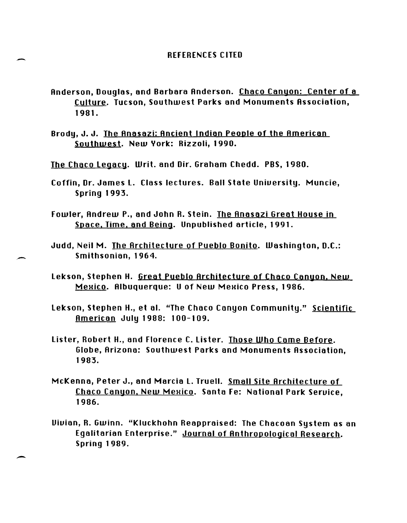- Rnderson, Douglas, and Barbara Rnderson. Chaco Canyon: Center of a Culture. Tucson, Southwest Parks and Monuments Rssociation, 1981.
- Brody, J. J. The Anasazi: Ancient Indian People of the American Southwest. New York: Rizzoli, 1990.
- The Chaco Legacy. Writ. and Dir. Graham Chedd. PBS, 1980.

-

-

-

- Coffin, Dr. James L. Class lectures. Ball State Uniuersity. Muncie, Spring 1993.
- Fowler, Rndrew P., and John R. Stein. The Rnasazi Great House in Space. Time. and Being. Unpublished article, 1991.
- Judd, Neil M. The Architecture of Pueblo Bonito. Washington, D.C.: Smithsonian, 1964.
- Lekson, Stephen H. Great Pueblo Rrchitecture of Chaco Canyon. New Mexico. Albuquerque: U of New Mexico Press, 1986.
- Lekson, Stephen H., et al. "The Chaco Canyon Community." Scientific Rmerican July 1988: 100-109.
- Lister, Robert H., and Florence C. Lister. Those Who Came Before. Globe, Rrizona: Southwest Parks and Monuments Rssociation, 1983.
- McKenna, Peter J., and Marcia L. Truell. Small Site Rrchitecture of Chaco Canyon, New Mexico. Santa Fe: National Park Service. 1986.
- Uiuian, R. Gwinn. "Kluckhohn Reappraised: The Chacoan System as an Egalitarian Enterprise." Journal of Rnthropological Research. Spring 1989.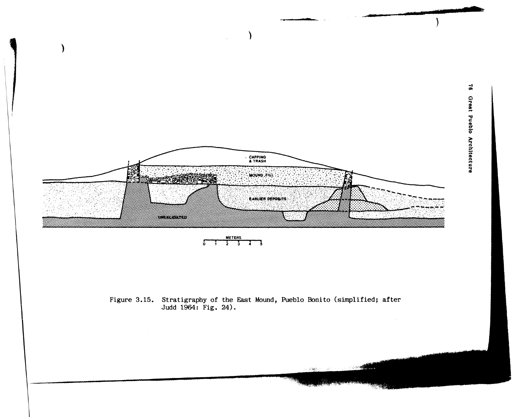